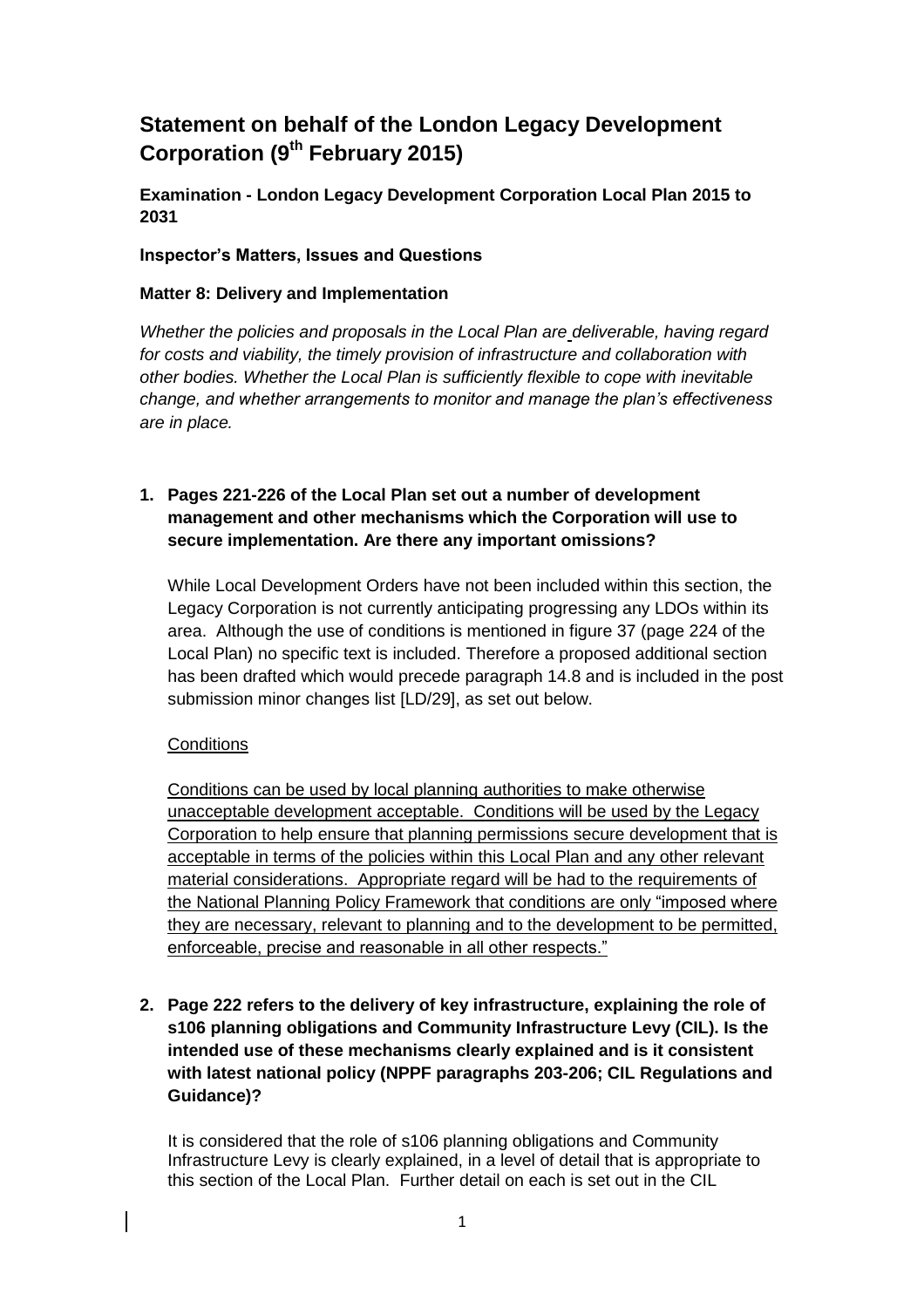# **Statement on behalf of the London Legacy Development Corporation (9th February 2015)**

**Examination - London Legacy Development Corporation Local Plan 2015 to 2031**

#### **Inspector's Matters, Issues and Questions**

#### **Matter 8: Delivery and Implementation**

*Whether the policies and proposals in the Local Plan are deliverable, having regard for costs and viability, the timely provision of infrastructure and collaboration with other bodies. Whether the Local Plan is sufficiently flexible to cope with inevitable change, and whether arrangements to monitor and manage the plan's effectiveness are in place.*

# **1. Pages 221-226 of the Local Plan set out a number of development management and other mechanisms which the Corporation will use to secure implementation. Are there any important omissions?**

While Local Development Orders have not been included within this section, the Legacy Corporation is not currently anticipating progressing any LDOs within its area. Although the use of conditions is mentioned in figure 37 (page 224 of the Local Plan) no specific text is included. Therefore a proposed additional section has been drafted which would precede paragraph 14.8 and is included in the post submission minor changes list [LD/29], as set out below.

# **Conditions**

Conditions can be used by local planning authorities to make otherwise unacceptable development acceptable. Conditions will be used by the Legacy Corporation to help ensure that planning permissions secure development that is acceptable in terms of the policies within this Local Plan and any other relevant material considerations. Appropriate regard will be had to the requirements of the National Planning Policy Framework that conditions are only "imposed where they are necessary, relevant to planning and to the development to be permitted. enforceable, precise and reasonable in all other respects."

**2. Page 222 refers to the delivery of key infrastructure, explaining the role of s106 planning obligations and Community Infrastructure Levy (CIL). Is the intended use of these mechanisms clearly explained and is it consistent with latest national policy (NPPF paragraphs 203-206; CIL Regulations and Guidance)?**

It is considered that the role of s106 planning obligations and Community Infrastructure Levy is clearly explained, in a level of detail that is appropriate to this section of the Local Plan. Further detail on each is set out in the CIL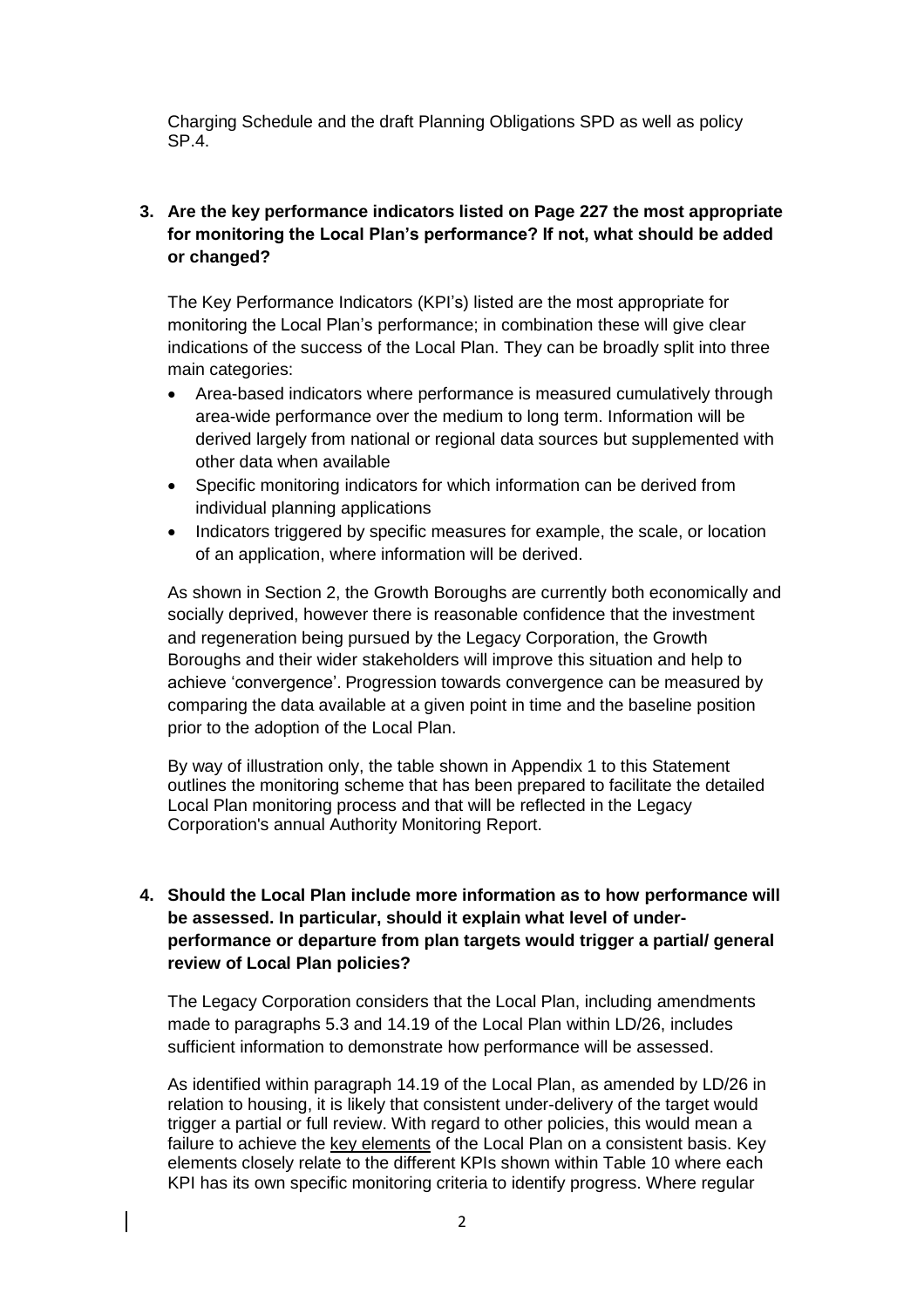Charging Schedule and the draft Planning Obligations SPD as well as policy SP.4.

# **3. Are the key performance indicators listed on Page 227 the most appropriate for monitoring the Local Plan's performance? If not, what should be added or changed?**

The Key Performance Indicators (KPI's) listed are the most appropriate for monitoring the Local Plan's performance; in combination these will give clear indications of the success of the Local Plan. They can be broadly split into three main categories:

- Area-based indicators where performance is measured cumulatively through area-wide performance over the medium to long term. Information will be derived largely from national or regional data sources but supplemented with other data when available
- Specific monitoring indicators for which information can be derived from individual planning applications
- Indicators triggered by specific measures for example, the scale, or location of an application, where information will be derived.

As shown in Section 2, the Growth Boroughs are currently both economically and socially deprived, however there is reasonable confidence that the investment and regeneration being pursued by the Legacy Corporation, the Growth Boroughs and their wider stakeholders will improve this situation and help to achieve 'convergence'. Progression towards convergence can be measured by comparing the data available at a given point in time and the baseline position prior to the adoption of the Local Plan.

By way of illustration only, the table shown in Appendix 1 to this Statement outlines the monitoring scheme that has been prepared to facilitate the detailed Local Plan monitoring process and that will be reflected in the Legacy Corporation's annual Authority Monitoring Report.

# **4. Should the Local Plan include more information as to how performance will be assessed. In particular, should it explain what level of underperformance or departure from plan targets would trigger a partial/ general review of Local Plan policies?**

The Legacy Corporation considers that the Local Plan, including amendments made to paragraphs 5.3 and 14.19 of the Local Plan within LD/26, includes sufficient information to demonstrate how performance will be assessed.

As identified within paragraph 14.19 of the Local Plan, as amended by LD/26 in relation to housing, it is likely that consistent under-delivery of the target would trigger a partial or full review. With regard to other policies, this would mean a failure to achieve the key elements of the Local Plan on a consistent basis. Key elements closely relate to the different KPIs shown within Table 10 where each KPI has its own specific monitoring criteria to identify progress. Where regular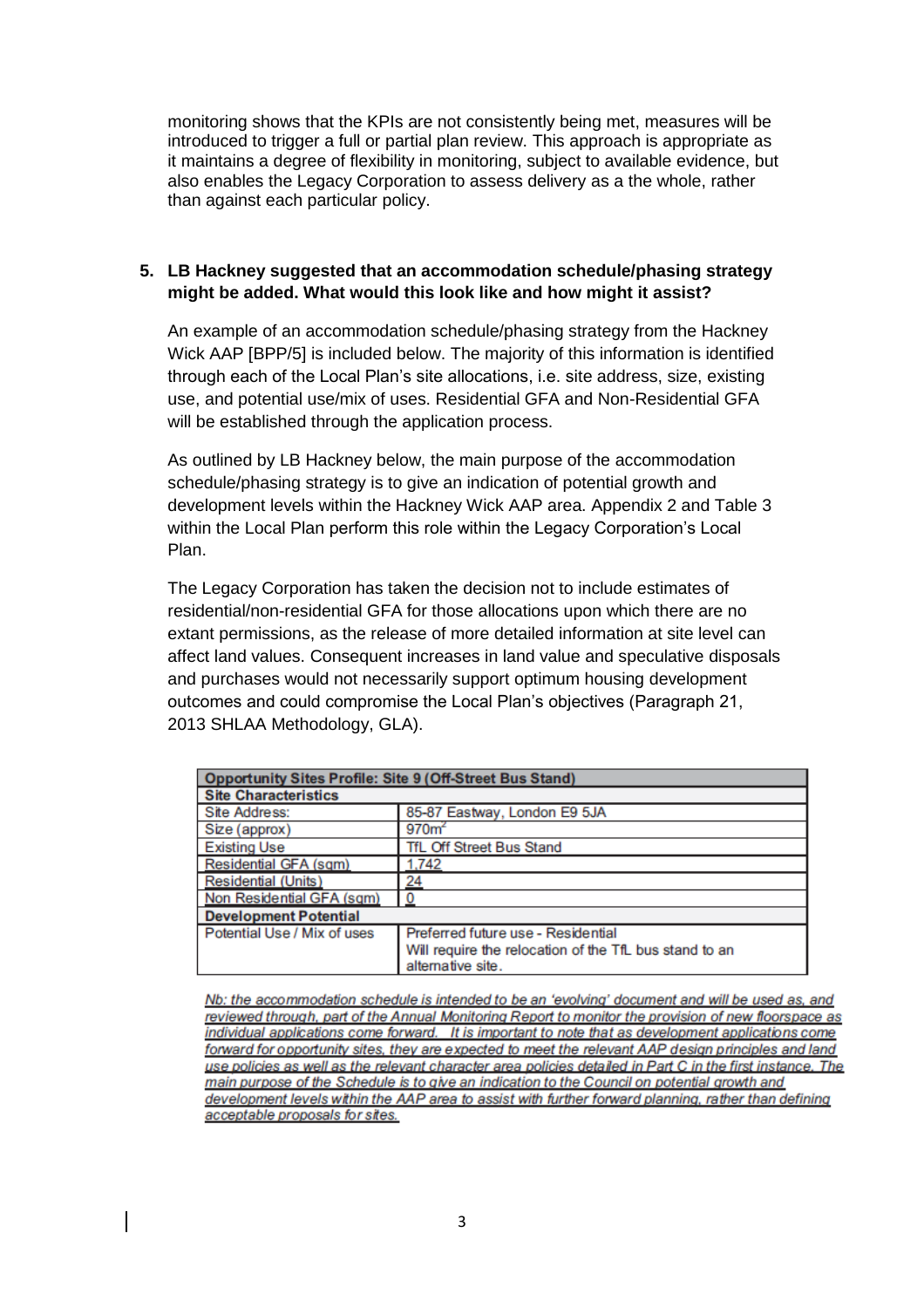monitoring shows that the KPIs are not consistently being met, measures will be introduced to trigger a full or partial plan review. This approach is appropriate as it maintains a degree of flexibility in monitoring, subject to available evidence, but also enables the Legacy Corporation to assess delivery as a the whole, rather than against each particular policy.

#### **5. LB Hackney suggested that an accommodation schedule/phasing strategy might be added. What would this look like and how might it assist?**

An example of an accommodation schedule/phasing strategy from the Hackney Wick AAP [BPP/5] is included below. The majority of this information is identified through each of the Local Plan's site allocations, i.e. site address, size, existing use, and potential use/mix of uses. Residential GFA and Non-Residential GFA will be established through the application process.

As outlined by LB Hackney below, the main purpose of the accommodation schedule/phasing strategy is to give an indication of potential growth and development levels within the Hackney Wick AAP area. Appendix 2 and Table 3 within the Local Plan perform this role within the Legacy Corporation's Local Plan.

The Legacy Corporation has taken the decision not to include estimates of residential/non-residential GFA for those allocations upon which there are no extant permissions, as the release of more detailed information at site level can affect land values. Consequent increases in land value and speculative disposals and purchases would not necessarily support optimum housing development outcomes and could compromise the Local Plan's objectives (Paragraph 21, 2013 SHLAA Methodology, GLA).

| <b>Opportunity Sites Profile: Site 9 (Off-Street Bus Stand)</b> |                                                        |  |  |  |  |  |
|-----------------------------------------------------------------|--------------------------------------------------------|--|--|--|--|--|
| <b>Site Characteristics</b>                                     |                                                        |  |  |  |  |  |
| Site Address:                                                   | 85-87 Eastway, London E9 5JA                           |  |  |  |  |  |
| Size (approx)                                                   | 970 <sup>2</sup>                                       |  |  |  |  |  |
| <b>Existing Use</b><br>TfL Off Street Bus Stand                 |                                                        |  |  |  |  |  |
| Residential GFA (sqm)                                           | 1,742                                                  |  |  |  |  |  |
| Residential (Units)                                             | <u>24</u>                                              |  |  |  |  |  |
| Non Residential GFA (sqm)                                       |                                                        |  |  |  |  |  |
| <b>Development Potential</b>                                    |                                                        |  |  |  |  |  |
| Potential Use / Mix of uses                                     | Preferred future use - Residential                     |  |  |  |  |  |
|                                                                 | Will require the relocation of the TfL bus stand to an |  |  |  |  |  |
|                                                                 | alternative site.                                      |  |  |  |  |  |

Nb: the accommodation schedule is intended to be an 'evolving' document and will be used as, and reviewed through, part of the Annual Monitoring Report to monitor the provision of new floorspace as individual applications come forward. It is important to note that as development applications come forward for opportunity sites, they are expected to meet the relevant AAP design principles and land use policies as well as the relevant character area policies detailed in Part C in the first instance. The main purpose of the Schedule is to give an indication to the Council on potential growth and development levels within the AAP area to assist with further forward planning, rather than defining acceptable proposals for sites.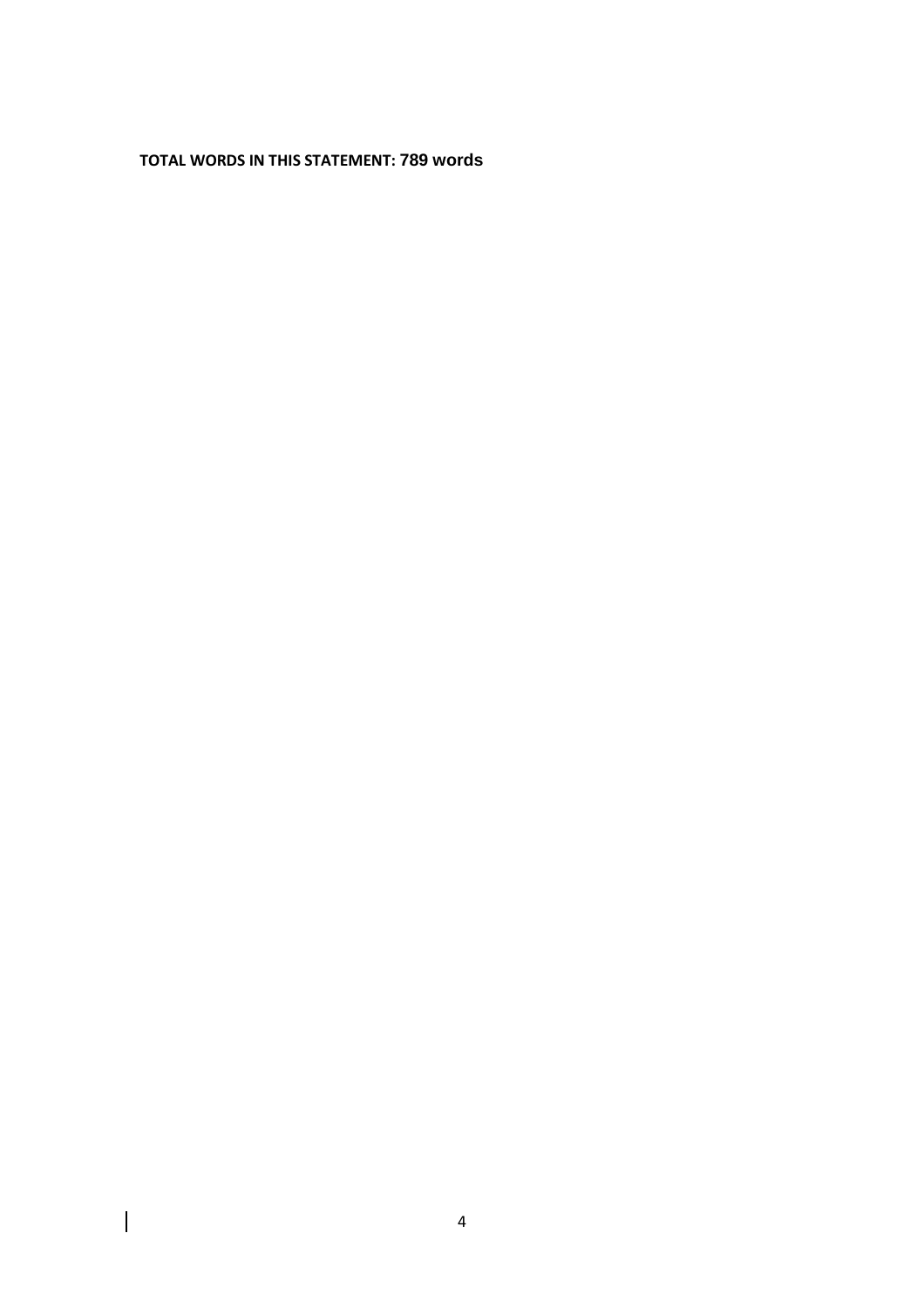**TOTAL WORDS IN THIS STATEMENT: 789 words**

 $\overline{\phantom{a}}$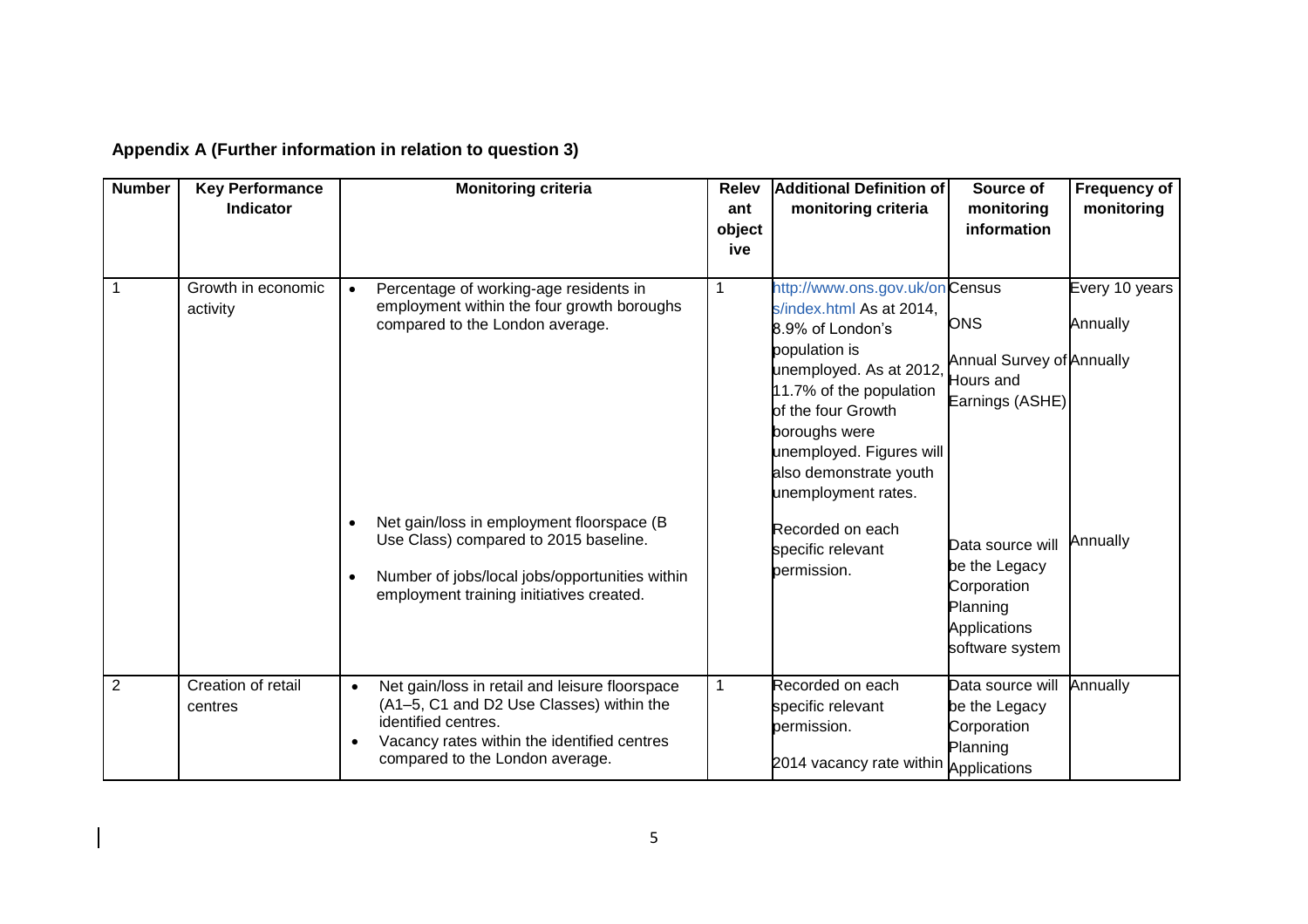| <b>Number</b>  | <b>Key Performance</b><br><b>Indicator</b> | <b>Monitoring criteria</b>                                                                                                                                                                                                                                                                                                            | <b>Relev</b><br>ant<br>object<br>ive | <b>Additional Definition of</b><br>monitoring criteria                                                                                                                                                                                                                                                                            | Source of<br>monitoring<br>information                                                                                                                                            | <b>Frequency of</b><br>monitoring      |
|----------------|--------------------------------------------|---------------------------------------------------------------------------------------------------------------------------------------------------------------------------------------------------------------------------------------------------------------------------------------------------------------------------------------|--------------------------------------|-----------------------------------------------------------------------------------------------------------------------------------------------------------------------------------------------------------------------------------------------------------------------------------------------------------------------------------|-----------------------------------------------------------------------------------------------------------------------------------------------------------------------------------|----------------------------------------|
|                | Growth in economic<br>activity             | Percentage of working-age residents in<br>$\bullet$<br>employment within the four growth boroughs<br>compared to the London average.<br>Net gain/loss in employment floorspace (B<br>Use Class) compared to 2015 baseline.<br>Number of jobs/local jobs/opportunities within<br>$\bullet$<br>employment training initiatives created. | 1                                    | http://www.ons.gov.uk/onCensus<br>s/index.html As at 2014,<br>8.9% of London's<br>population is<br>unemployed. As at 2012,<br>11.7% of the population<br>of the four Growth<br>boroughs were<br>unemployed. Figures will<br>also demonstrate youth<br>unemployment rates.<br>Recorded on each<br>specific relevant<br>permission. | <b>ONS</b><br><b>Annual Survey of Annually</b><br>Hours and<br>Earnings (ASHE)<br>Data source will<br>be the Legacy<br>Corporation<br>Planning<br>Applications<br>software system | Every 10 years<br>Annually<br>Annually |
| $\overline{2}$ | Creation of retail<br>centres              | Net gain/loss in retail and leisure floorspace<br>$\bullet$<br>(A1-5, C1 and D2 Use Classes) within the<br>identified centres.<br>Vacancy rates within the identified centres<br>$\bullet$<br>compared to the London average.                                                                                                         | $\mathbf 1$                          | Recorded on each<br>specific relevant<br>permission.<br>2014 vacancy rate within Applications                                                                                                                                                                                                                                     | Data source will<br>be the Legacy<br>Corporation<br>Planning                                                                                                                      | Annually                               |

# **Appendix A (Further information in relation to question 3)**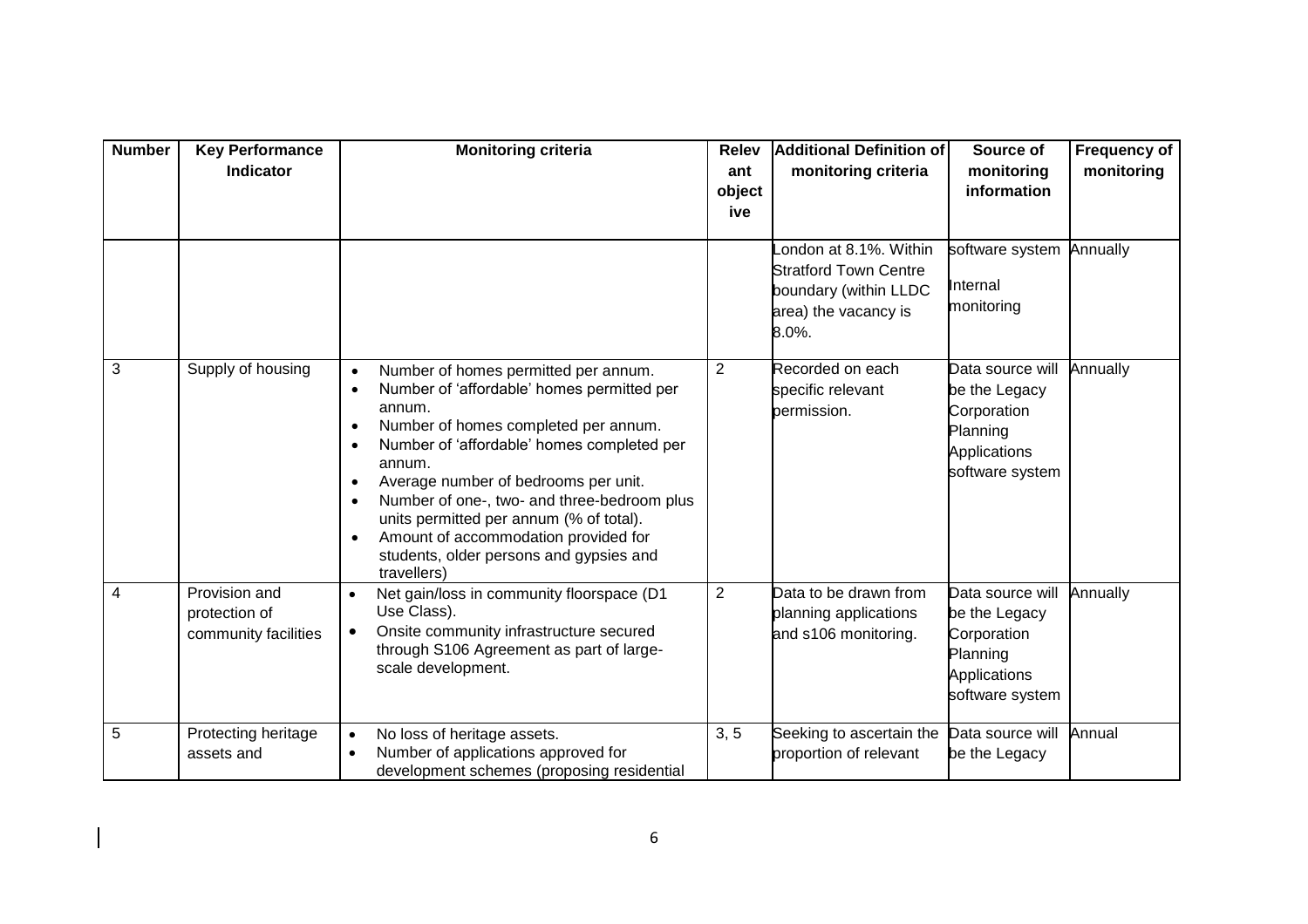| <b>Number</b> | <b>Key Performance</b><br><b>Indicator</b>             | <b>Monitoring criteria</b>                                                                                                                                                                                                                                                                                                                                                                                                                                                                                                  | <b>Relev</b><br>ant<br>object<br>ive | <b>Additional Definition of</b><br>monitoring criteria                                                          | Source of<br>monitoring<br>information                                                          | <b>Frequency of</b><br>monitoring |
|---------------|--------------------------------------------------------|-----------------------------------------------------------------------------------------------------------------------------------------------------------------------------------------------------------------------------------------------------------------------------------------------------------------------------------------------------------------------------------------------------------------------------------------------------------------------------------------------------------------------------|--------------------------------------|-----------------------------------------------------------------------------------------------------------------|-------------------------------------------------------------------------------------------------|-----------------------------------|
|               |                                                        |                                                                                                                                                                                                                                                                                                                                                                                                                                                                                                                             |                                      | ondon at 8.1%. Within<br><b>Stratford Town Centre</b><br>boundary (within LLDC<br>area) the vacancy is<br>8.0%. | software system<br>Internal<br>monitoring                                                       | Annually                          |
| 3             | Supply of housing                                      | Number of homes permitted per annum.<br>$\bullet$<br>Number of 'affordable' homes permitted per<br>$\bullet$<br>annum.<br>Number of homes completed per annum.<br>$\bullet$<br>Number of 'affordable' homes completed per<br>$\bullet$<br>annum.<br>Average number of bedrooms per unit.<br>$\bullet$<br>Number of one-, two- and three-bedroom plus<br>$\bullet$<br>units permitted per annum (% of total).<br>Amount of accommodation provided for<br>$\bullet$<br>students, older persons and gypsies and<br>travellers) | 2                                    | Recorded on each<br>specific relevant<br>permission.                                                            | Data source will<br>be the Legacy<br>Corporation<br>Planning<br>Applications<br>software system | Annually                          |
| 4             | Provision and<br>protection of<br>community facilities | Net gain/loss in community floorspace (D1<br>$\bullet$<br>Use Class).<br>Onsite community infrastructure secured<br>$\bullet$<br>through S106 Agreement as part of large-<br>scale development.                                                                                                                                                                                                                                                                                                                             | 2                                    | Data to be drawn from<br>planning applications<br>and s106 monitoring.                                          | Data source will<br>be the Legacy<br>Corporation<br>Planning<br>Applications<br>software system | Annually                          |
| 5             | Protecting heritage<br>assets and                      | No loss of heritage assets.<br>$\bullet$<br>Number of applications approved for<br>$\bullet$<br>development schemes (proposing residential                                                                                                                                                                                                                                                                                                                                                                                  | 3, 5                                 | Seeking to ascertain the<br>proportion of relevant                                                              | Data source will<br>be the Legacy                                                               | Annual                            |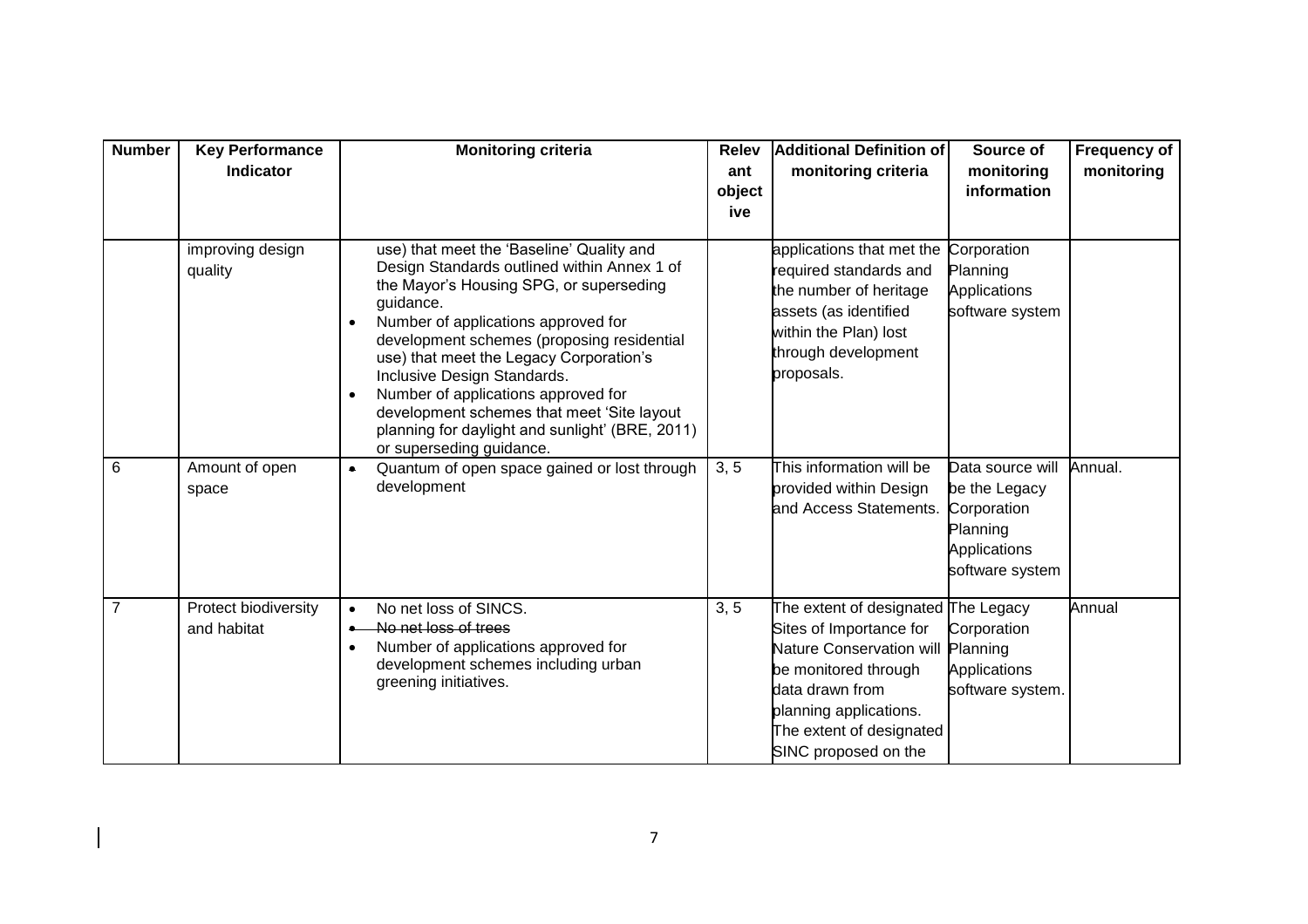| <b>Number</b> | <b>Key Performance</b><br>Indicator | <b>Monitoring criteria</b>                                                                                                                                                                                                                                                                                                                                                                                                                                                          | <b>Relev</b><br>ant<br>object<br>ive | <b>Additional Definition of</b><br>monitoring criteria                                                                                                                                                                     | Source of<br>monitoring<br>information                                                          | <b>Frequency of</b><br>monitoring |
|---------------|-------------------------------------|-------------------------------------------------------------------------------------------------------------------------------------------------------------------------------------------------------------------------------------------------------------------------------------------------------------------------------------------------------------------------------------------------------------------------------------------------------------------------------------|--------------------------------------|----------------------------------------------------------------------------------------------------------------------------------------------------------------------------------------------------------------------------|-------------------------------------------------------------------------------------------------|-----------------------------------|
|               | improving design<br>quality         | use) that meet the 'Baseline' Quality and<br>Design Standards outlined within Annex 1 of<br>the Mayor's Housing SPG, or superseding<br>guidance.<br>Number of applications approved for<br>development schemes (proposing residential<br>use) that meet the Legacy Corporation's<br>Inclusive Design Standards.<br>Number of applications approved for<br>development schemes that meet 'Site layout<br>planning for daylight and sunlight' (BRE, 2011)<br>or superseding guidance. |                                      | applications that met the<br>required standards and<br>the number of heritage<br>assets (as identified<br>within the Plan) lost<br>through development<br>proposals.                                                       | Corporation<br>Planning<br>Applications<br>software system                                      |                                   |
| 6             | Amount of open<br>space             | Quantum of open space gained or lost through<br>$\bullet$<br>development                                                                                                                                                                                                                                                                                                                                                                                                            | 3, 5                                 | This information will be<br>provided within Design<br>and Access Statements.                                                                                                                                               | Data source will<br>be the Legacy<br>Corporation<br>Planning<br>Applications<br>software system | Annual.                           |
| 7             | Protect biodiversity<br>and habitat | No net loss of SINCS.<br>$\bullet$<br>No net loss of trees<br>Number of applications approved for<br>development schemes including urban<br>greening initiatives.                                                                                                                                                                                                                                                                                                                   | 3, 5                                 | The extent of designated The Legacy<br>Sites of Importance for<br><b>Nature Conservation will</b><br>be monitored through<br>data drawn from<br>planning applications.<br>The extent of designated<br>SINC proposed on the | Corporation<br>Planning<br>Applications<br>software system.                                     | Annual                            |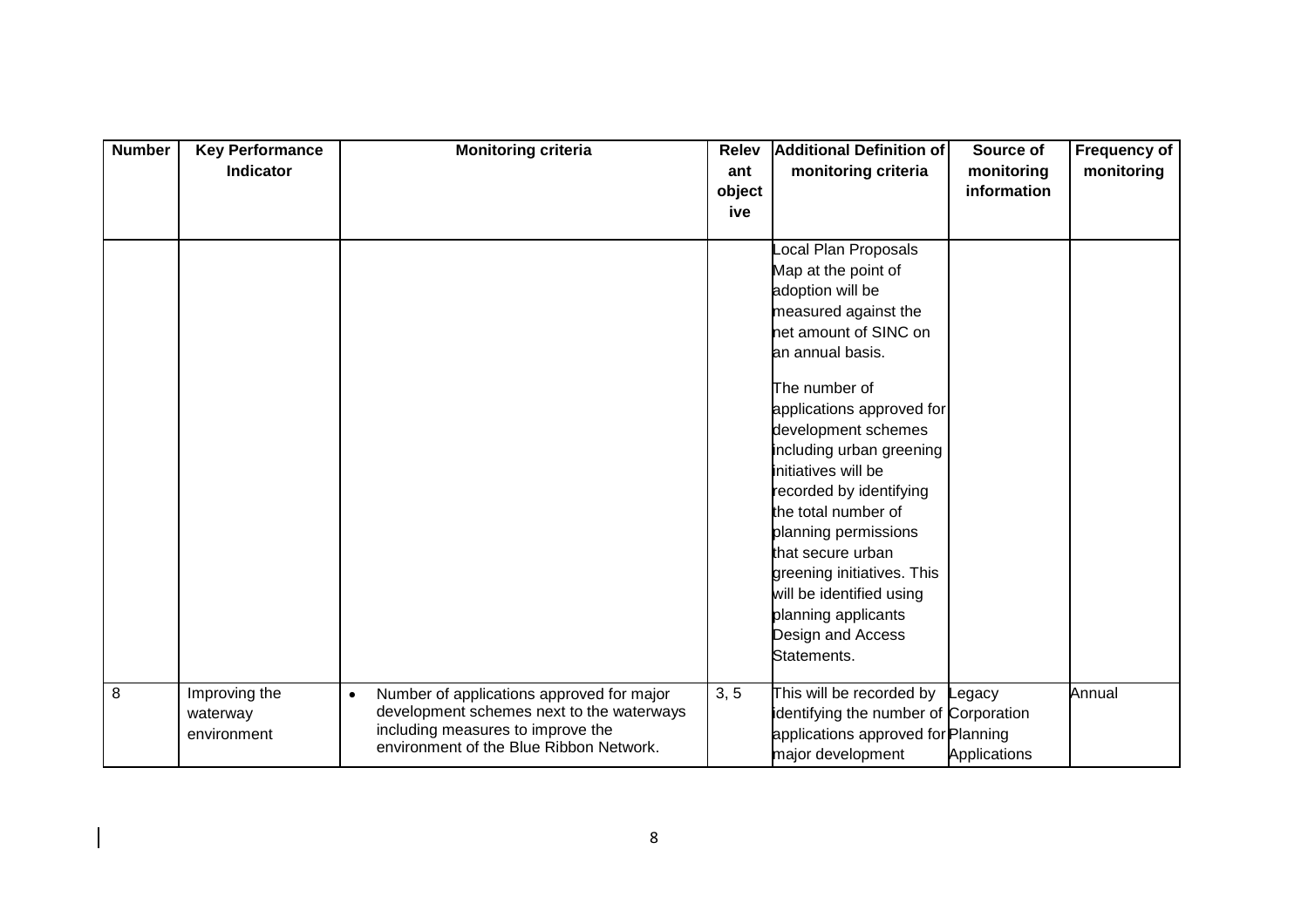| <b>Number</b> | <b>Key Performance</b><br>Indicator      | <b>Monitoring criteria</b>                                                                                                                                                          | <b>Relev</b><br>ant<br>object<br>ive | <b>Additional Definition of</b><br>monitoring criteria                                                                                                                                                                                                                                                                                   | Source of<br>monitoring<br>information | <b>Frequency of</b><br>monitoring |
|---------------|------------------------------------------|-------------------------------------------------------------------------------------------------------------------------------------------------------------------------------------|--------------------------------------|------------------------------------------------------------------------------------------------------------------------------------------------------------------------------------------------------------------------------------------------------------------------------------------------------------------------------------------|----------------------------------------|-----------------------------------|
|               |                                          |                                                                                                                                                                                     |                                      | ocal Plan Proposals<br>Map at the point of<br>adoption will be<br>measured against the<br>net amount of SINC on<br>an annual basis.                                                                                                                                                                                                      |                                        |                                   |
|               |                                          |                                                                                                                                                                                     |                                      | The number of<br>applications approved for<br>development schemes<br>including urban greening<br>initiatives will be<br>recorded by identifying<br>the total number of<br>planning permissions<br>that secure urban<br>greening initiatives. This<br>will be identified using<br>planning applicants<br>Design and Access<br>Statements. |                                        |                                   |
| 8             | Improving the<br>waterway<br>environment | Number of applications approved for major<br>$\bullet$<br>development schemes next to the waterways<br>including measures to improve the<br>environment of the Blue Ribbon Network. | 3, 5                                 | This will be recorded by<br>identifying the number of Corporation<br>applications approved for Planning<br>major development                                                                                                                                                                                                             | Legacy<br>Applications                 | Annual                            |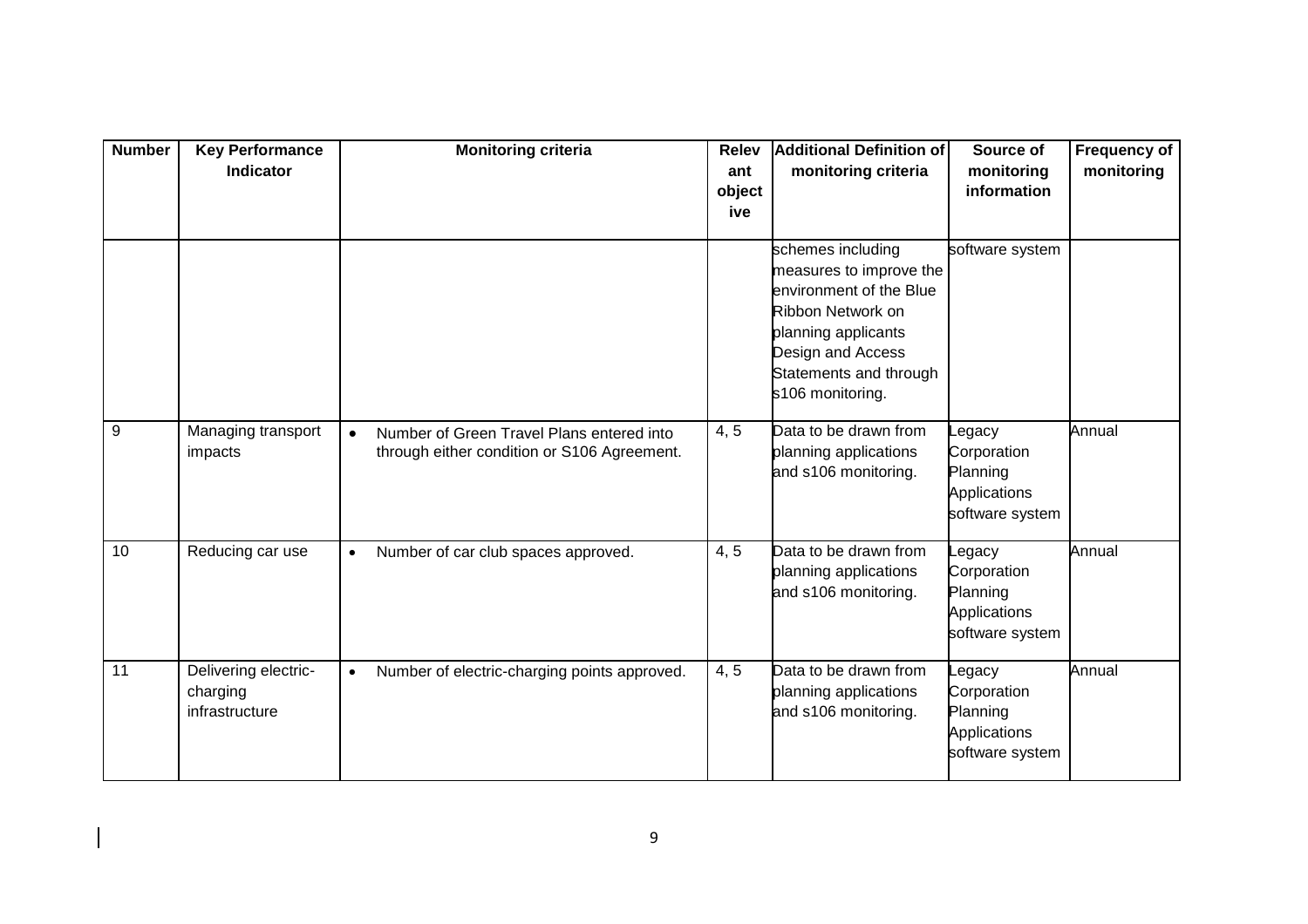| <b>Number</b> | <b>Key Performance</b><br>Indicator                | <b>Monitoring criteria</b>                                                                            | <b>Relev</b><br>ant<br>object<br>ive | <b>Additional Definition of</b><br>monitoring criteria                                                                                                                                 | Source of<br>monitoring<br>information                               | <b>Frequency of</b><br>monitoring |
|---------------|----------------------------------------------------|-------------------------------------------------------------------------------------------------------|--------------------------------------|----------------------------------------------------------------------------------------------------------------------------------------------------------------------------------------|----------------------------------------------------------------------|-----------------------------------|
|               |                                                    |                                                                                                       |                                      | schemes including<br>measures to improve the<br>environment of the Blue<br>Ribbon Network on<br>planning applicants<br>Design and Access<br>Statements and through<br>s106 monitoring. | software system                                                      |                                   |
| 9             | Managing transport<br>impacts                      | Number of Green Travel Plans entered into<br>$\bullet$<br>through either condition or S106 Agreement. | 4, 5                                 | Data to be drawn from<br>planning applications<br>and s106 monitoring.                                                                                                                 | egacy<br>Corporation<br>Planning<br>Applications<br>software system  | Annual                            |
| 10            | Reducing car use                                   | Number of car club spaces approved.<br>$\bullet$                                                      | 4, 5                                 | Data to be drawn from<br>planning applications<br>and s106 monitoring.                                                                                                                 | egacy<br>Corporation<br>Planning<br>Applications<br>software system  | Annual                            |
| 11            | Delivering electric-<br>charging<br>infrastructure | Number of electric-charging points approved.<br>$\bullet$                                             | 4, 5                                 | Data to be drawn from<br>planning applications<br>and s106 monitoring.                                                                                                                 | _egacy<br>Corporation<br>Planning<br>Applications<br>software system | Annual                            |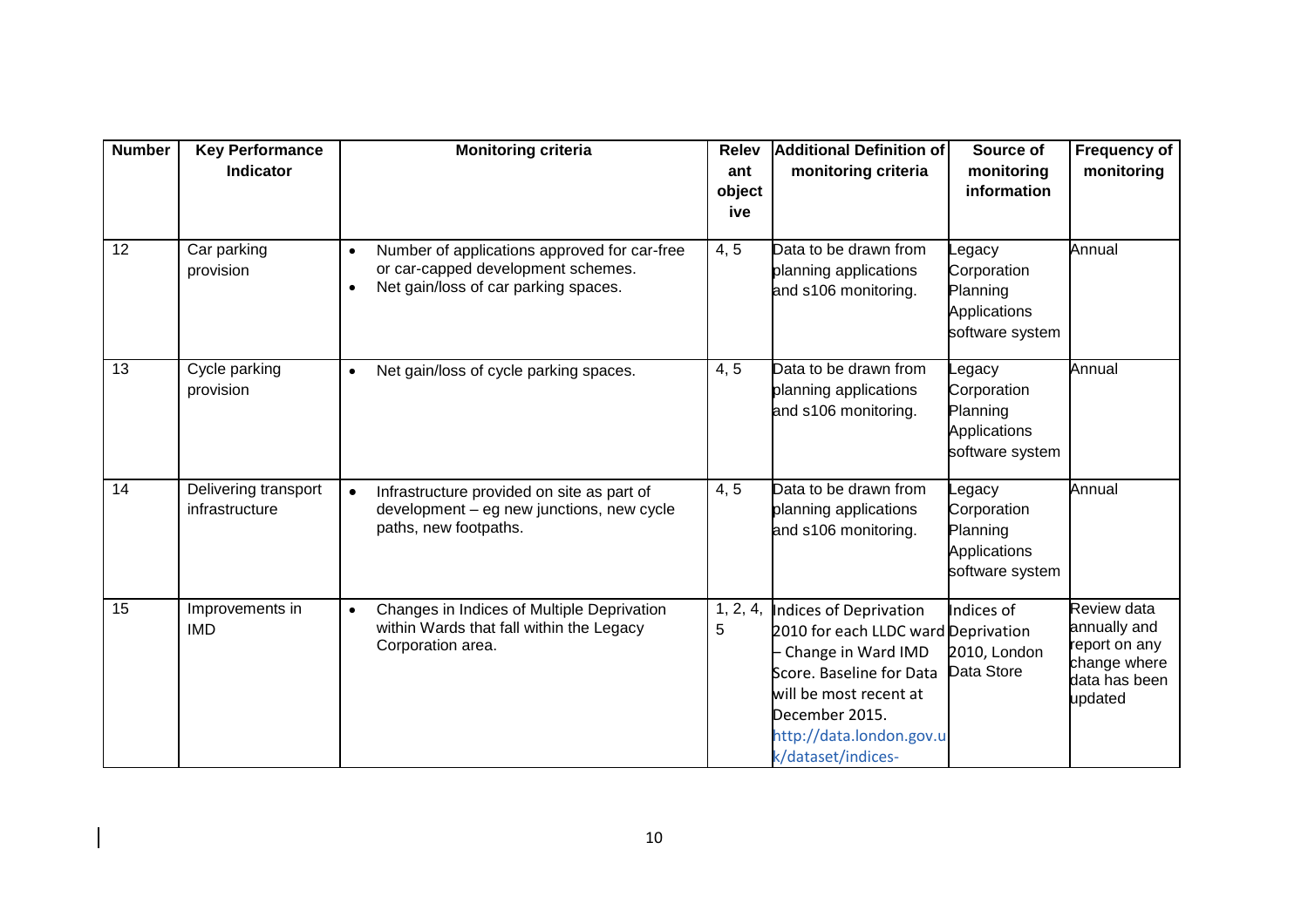| <b>Number</b> | <b>Key Performance</b><br><b>Indicator</b> | Monitoring criteria                                                                                                                                  | <b>Relev</b><br>ant<br>object<br>ive | <b>Additional Definition of</b><br>monitoring criteria                                                                                                                                                        | Source of<br>monitoring<br>information                              | <b>Frequency of</b><br>monitoring                                                        |
|---------------|--------------------------------------------|------------------------------------------------------------------------------------------------------------------------------------------------------|--------------------------------------|---------------------------------------------------------------------------------------------------------------------------------------------------------------------------------------------------------------|---------------------------------------------------------------------|------------------------------------------------------------------------------------------|
| 12            | Car parking<br>provision                   | Number of applications approved for car-free<br>$\bullet$<br>or car-capped development schemes.<br>Net gain/loss of car parking spaces.<br>$\bullet$ | 4, 5                                 | Data to be drawn from<br>planning applications<br>and s106 monitoring.                                                                                                                                        | egacy<br>Corporation<br>Planning<br>Applications<br>software system | Annual                                                                                   |
| 13            | Cycle parking<br>provision                 | Net gain/loss of cycle parking spaces.<br>$\bullet$                                                                                                  | 4, 5                                 | Data to be drawn from<br>planning applications<br>and s106 monitoring.                                                                                                                                        | egacy<br>Corporation<br>Planning<br>Applications<br>software system | Annual                                                                                   |
| 14            | Delivering transport<br>infrastructure     | Infrastructure provided on site as part of<br>$\bullet$<br>development - eg new junctions, new cycle<br>paths, new footpaths.                        | 4, 5                                 | Data to be drawn from<br>planning applications<br>and s106 monitoring.                                                                                                                                        | egacy<br>Corporation<br>Planning<br>Applications<br>software system | Annual                                                                                   |
| 15            | Improvements in<br><b>IMD</b>              | Changes in Indices of Multiple Deprivation<br>$\bullet$<br>within Wards that fall within the Legacy<br>Corporation area.                             | 1, 2, 4,<br>5                        | Indices of Deprivation<br>2010 for each LLDC ward Deprivation<br>Change in Ward IMD<br>Score. Baseline for Data<br>will be most recent at<br>December 2015.<br>http://data.london.gov.u<br>k/dataset/indices- | Indices of<br>2010, London<br>Data Store                            | Review data<br>annually and<br>report on any<br>change where<br>data has been<br>updated |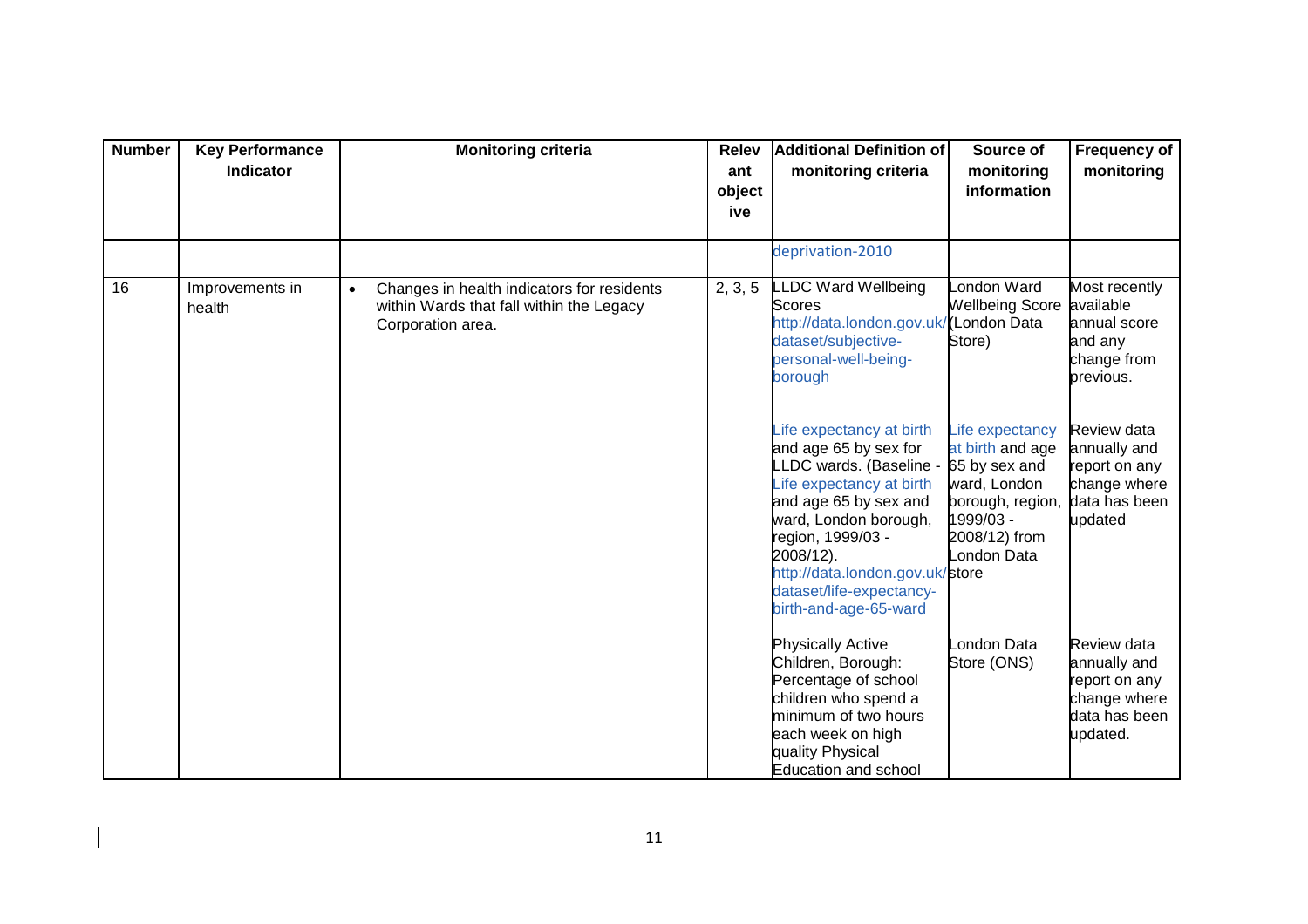| <b>Number</b> | <b>Key Performance</b><br><b>Indicator</b> | <b>Monitoring criteria</b>                                                                                               | <b>Relev</b><br>ant<br>object<br>ive | Additional Definition of<br>monitoring criteria                                                                                                                                                                                                                                      | Source of<br>monitoring<br>information                                                                                                | Frequency of<br>monitoring                                                                |
|---------------|--------------------------------------------|--------------------------------------------------------------------------------------------------------------------------|--------------------------------------|--------------------------------------------------------------------------------------------------------------------------------------------------------------------------------------------------------------------------------------------------------------------------------------|---------------------------------------------------------------------------------------------------------------------------------------|-------------------------------------------------------------------------------------------|
|               |                                            |                                                                                                                          |                                      | deprivation-2010                                                                                                                                                                                                                                                                     |                                                                                                                                       |                                                                                           |
| 16            | Improvements in<br>health                  | Changes in health indicators for residents<br>$\bullet$<br>within Wards that fall within the Legacy<br>Corporation area. | 2, 3, 5                              | LDC Ward Wellbeing<br><b>Scores</b><br>http://data.london.gov.uk<br>dataset/subjective-<br>personal-well-being-<br>borough                                                                                                                                                           | London Ward<br><b>Wellbeing Score</b><br>/(London Data<br>Store)                                                                      | Most recently<br>available<br>annual score<br>and any<br>change from<br>previous.         |
|               |                                            |                                                                                                                          |                                      | life expectancy at birth<br>and age 65 by sex for<br>LLDC wards. (Baseline -<br>Life expectancy at birth<br>and age 65 by sex and<br>ward, London borough,<br>region, 1999/03 -<br>2008/12).<br>http://data.london.gov.uk/store<br>dataset/life-expectancy-<br>birth-and-age-65-ward | Life expectancy<br>at birth and age<br>65 by sex and<br>ward, London<br>borough, region,<br>1999/03 -<br>2008/12) from<br>London Data | Review data<br>annually and<br>report on any<br>change where<br>data has been<br>updated  |
|               |                                            |                                                                                                                          |                                      | <b>Physically Active</b><br>Children, Borough:<br>Percentage of school<br>children who spend a<br>minimum of two hours<br>each week on high<br>quality Physical<br><b>Education and school</b>                                                                                       | London Data<br>Store (ONS)                                                                                                            | Review data<br>annually and<br>report on any<br>change where<br>data has been<br>updated. |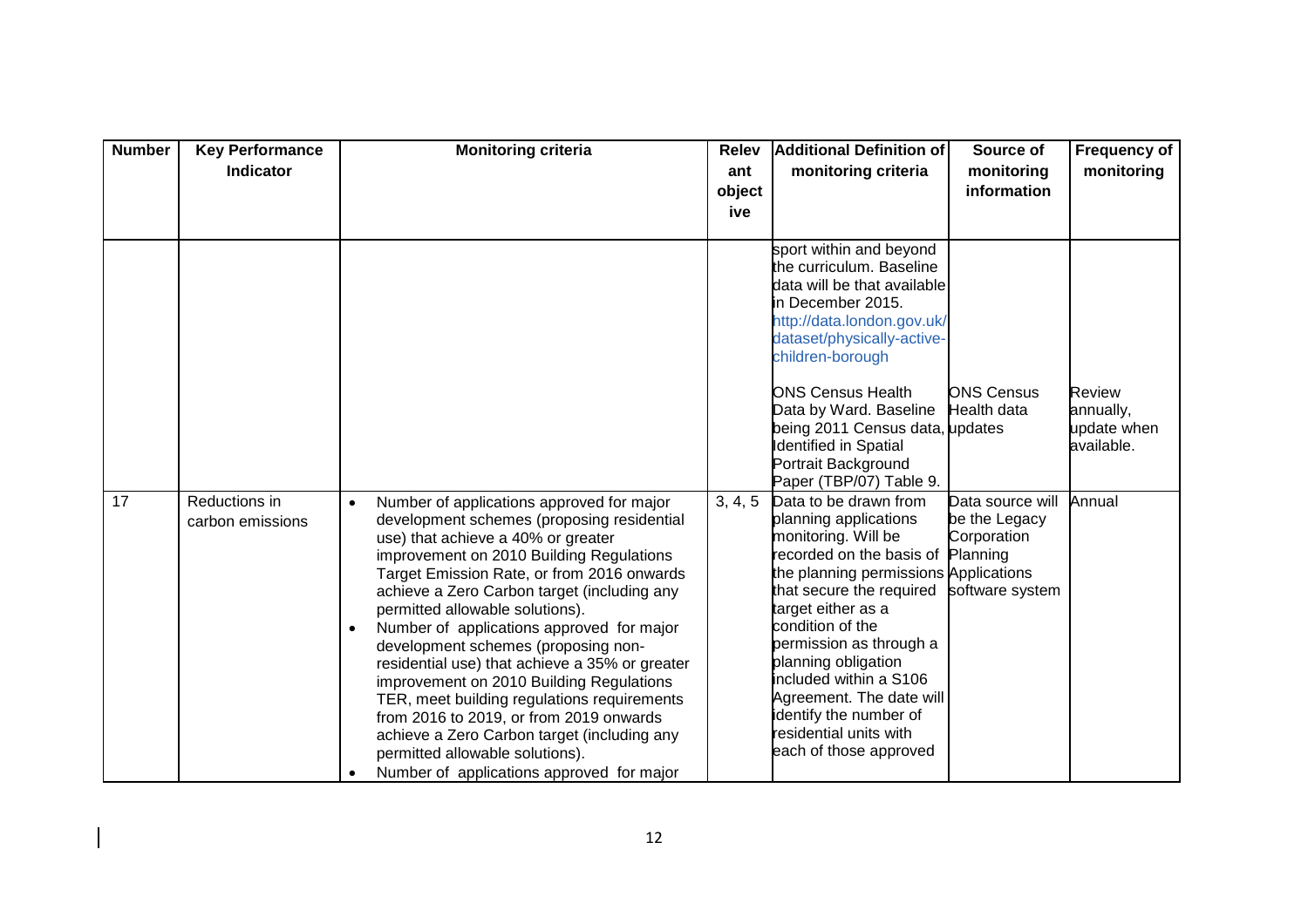| <b>Number</b> | <b>Key Performance</b><br>Indicator | <b>Monitoring criteria</b>                                                                                                                                                                                                                                                                                                                                                                                                                                                                                                                                                                                                                                                                                                                     | <b>Relev</b><br>ant<br>object | Additional Definition of<br>monitoring criteria                                                                                                                                                                                                                                                                                                                                                        | Source of<br>monitoring<br>information                                          | Frequency of<br>monitoring                              |
|---------------|-------------------------------------|------------------------------------------------------------------------------------------------------------------------------------------------------------------------------------------------------------------------------------------------------------------------------------------------------------------------------------------------------------------------------------------------------------------------------------------------------------------------------------------------------------------------------------------------------------------------------------------------------------------------------------------------------------------------------------------------------------------------------------------------|-------------------------------|--------------------------------------------------------------------------------------------------------------------------------------------------------------------------------------------------------------------------------------------------------------------------------------------------------------------------------------------------------------------------------------------------------|---------------------------------------------------------------------------------|---------------------------------------------------------|
|               |                                     |                                                                                                                                                                                                                                                                                                                                                                                                                                                                                                                                                                                                                                                                                                                                                | ive                           | sport within and beyond                                                                                                                                                                                                                                                                                                                                                                                |                                                                                 |                                                         |
|               |                                     |                                                                                                                                                                                                                                                                                                                                                                                                                                                                                                                                                                                                                                                                                                                                                |                               | the curriculum. Baseline<br>data will be that available<br>in December 2015.<br>http://data.london.gov.uk/<br>dataset/physically-active-<br>children-borough                                                                                                                                                                                                                                           |                                                                                 |                                                         |
|               |                                     |                                                                                                                                                                                                                                                                                                                                                                                                                                                                                                                                                                                                                                                                                                                                                |                               | <b>ONS Census Health</b><br>Data by Ward. Baseline<br>being 2011 Census data, updates<br><b>Identified in Spatial</b><br>Portrait Background<br>Paper (TBP/07) Table 9.                                                                                                                                                                                                                                | <b>ONS Census</b><br><b>Health data</b>                                         | <b>Review</b><br>annually,<br>update when<br>available. |
| 17            | Reductions in<br>carbon emissions   | Number of applications approved for major<br>$\bullet$<br>development schemes (proposing residential<br>use) that achieve a 40% or greater<br>improvement on 2010 Building Regulations<br>Target Emission Rate, or from 2016 onwards<br>achieve a Zero Carbon target (including any<br>permitted allowable solutions).<br>Number of applications approved for major<br>development schemes (proposing non-<br>residential use) that achieve a 35% or greater<br>improvement on 2010 Building Regulations<br>TER, meet building regulations requirements<br>from 2016 to 2019, or from 2019 onwards<br>achieve a Zero Carbon target (including any<br>permitted allowable solutions).<br>Number of applications approved for major<br>$\bullet$ | 3, 4, 5                       | Data to be drawn from<br>planning applications<br>monitoring. Will be<br>recorded on the basis of<br>the planning permissions Applications<br>that secure the required<br>target either as a<br>condition of the<br>permission as through a<br>planning obligation<br>included within a S106<br>Agreement. The date will<br>identify the number of<br>residential units with<br>each of those approved | Data source will<br>be the Legacy<br>Corporation<br>Planning<br>software system | Annual                                                  |

 $\blacksquare$  $\overline{\phantom{a}}$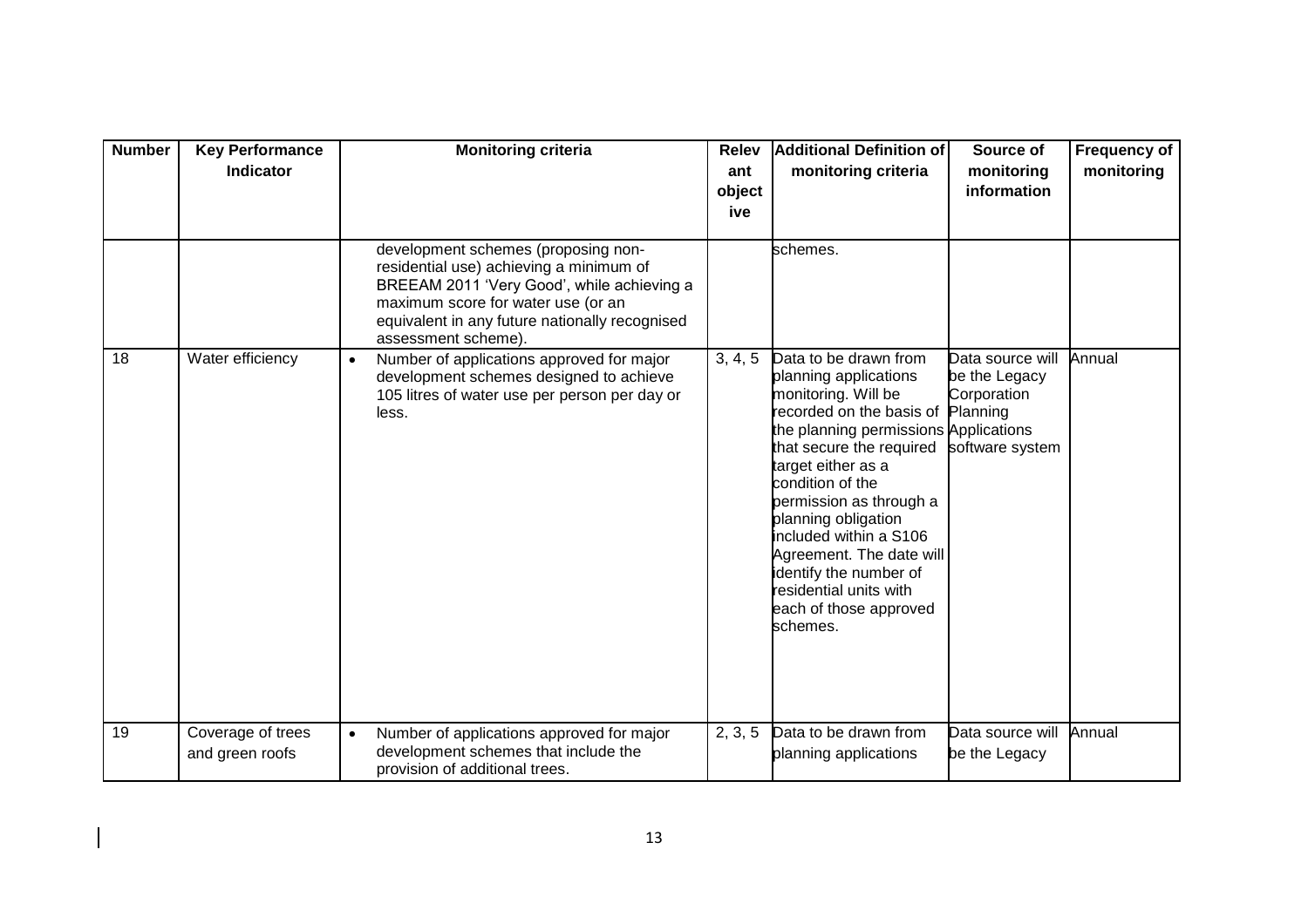| <b>Number</b> | <b>Key Performance</b><br><b>Indicator</b> | <b>Monitoring criteria</b>                                                                                                                                                                                                                  | <b>Relev</b><br>ant<br>object<br>ive | <b>Additional Definition of</b><br>monitoring criteria                                                                                                                                                                                                                                                                                                                                                            | Source of<br>monitoring<br>information                                          | Frequency of<br>monitoring |
|---------------|--------------------------------------------|---------------------------------------------------------------------------------------------------------------------------------------------------------------------------------------------------------------------------------------------|--------------------------------------|-------------------------------------------------------------------------------------------------------------------------------------------------------------------------------------------------------------------------------------------------------------------------------------------------------------------------------------------------------------------------------------------------------------------|---------------------------------------------------------------------------------|----------------------------|
|               |                                            | development schemes (proposing non-<br>residential use) achieving a minimum of<br>BREEAM 2011 'Very Good', while achieving a<br>maximum score for water use (or an<br>equivalent in any future nationally recognised<br>assessment scheme). |                                      | schemes.                                                                                                                                                                                                                                                                                                                                                                                                          |                                                                                 |                            |
| 18            | Water efficiency                           | Number of applications approved for major<br>$\bullet$<br>development schemes designed to achieve<br>105 litres of water use per person per day or<br>less.                                                                                 | 3, 4, 5                              | Data to be drawn from<br>planning applications<br>monitoring. Will be<br>ecorded on the basis of<br>the planning permissions Applications<br>that secure the required<br>target either as a<br>condition of the<br>permission as through a<br>planning obligation<br>included within a S106<br>Agreement. The date will<br>identify the number of<br>residential units with<br>each of those approved<br>schemes. | Data source will<br>be the Legacy<br>Corporation<br>Planning<br>software system | Annual                     |
| 19            | Coverage of trees<br>and green roofs       | Number of applications approved for major<br>$\bullet$<br>development schemes that include the<br>provision of additional trees.                                                                                                            | 2, 3, 5                              | Data to be drawn from<br>planning applications                                                                                                                                                                                                                                                                                                                                                                    | Data source will<br>be the Legacy                                               | Annual                     |

 $\blacksquare$  $\overline{\phantom{a}}$